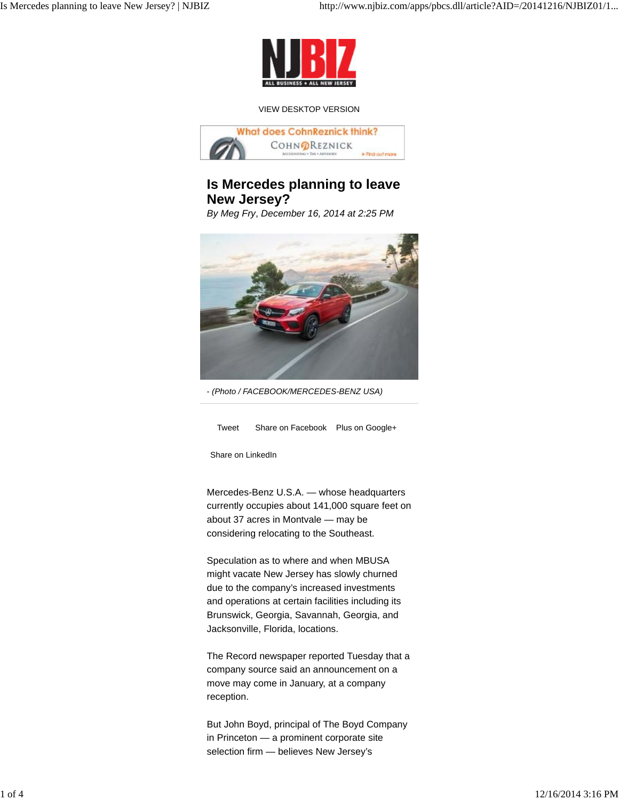

#### VIEW DESKTOP VERSION



# **Is Mercedes planning to leave New Jersey?**

*By Meg Fry*, *December 16, 2014 at 2:25 PM*



- *(Photo / FACEBOOK/MERCEDES-BENZ USA)*

Tweet Share on Facebook Plus on Google+

Share on LinkedIn

Mercedes-Benz U.S.A. — whose headquarters currently occupies about 141,000 square feet on about 37 acres in Montvale — may be considering relocating to the Southeast.

Speculation as to where and when MBUSA might vacate New Jersey has slowly churned due to the company's increased investments and operations at certain facilities including its Brunswick, Georgia, Savannah, Georgia, and Jacksonville, Florida, locations.

The Record newspaper reported Tuesday that a company source said an announcement on a move may come in January, at a company reception.

But John Boyd, principal of The Boyd Company in Princeton — a prominent corporate site selection firm — believes New Jersey's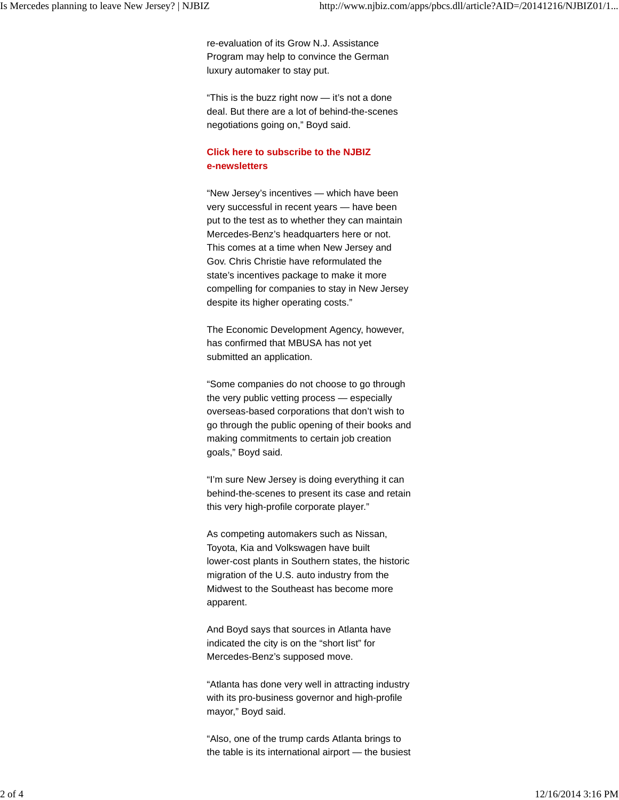re-evaluation of its Grow N.J. Assistance Program may help to convince the German luxury automaker to stay put.

"This is the buzz right now — it's not a done deal. But there are a lot of behind-the-scenes negotiations going on," Boyd said.

### **Click here to subscribe to the NJBIZ e-newsletters**

"New Jersey's incentives — which have been very successful in recent years — have been put to the test as to whether they can maintain Mercedes-Benz's headquarters here or not. This comes at a time when New Jersey and Gov. Chris Christie have reformulated the state's incentives package to make it more compelling for companies to stay in New Jersey despite its higher operating costs."

The Economic Development Agency, however, has confirmed that MBUSA has not yet submitted an application.

"Some companies do not choose to go through the very public vetting process — especially overseas-based corporations that don't wish to go through the public opening of their books and making commitments to certain job creation goals," Boyd said.

"I'm sure New Jersey is doing everything it can behind-the-scenes to present its case and retain this very high-profile corporate player."

As competing automakers such as Nissan, Toyota, Kia and Volkswagen have built lower-cost plants in Southern states, the historic migration of the U.S. auto industry from the Midwest to the Southeast has become more apparent.

And Boyd says that sources in Atlanta have indicated the city is on the "short list" for Mercedes-Benz's supposed move.

"Atlanta has done very well in attracting industry with its pro-business governor and high-profile mayor," Boyd said.

"Also, one of the trump cards Atlanta brings to the table is its international airport — the busiest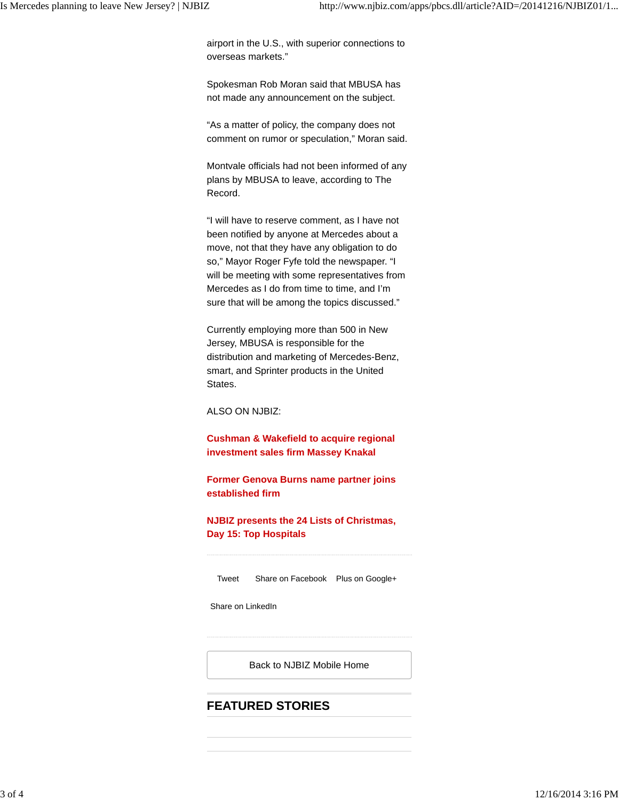airport in the U.S., with superior connections to overseas markets."

Spokesman Rob Moran said that MBUSA has not made any announcement on the subject.

"As a matter of policy, the company does not comment on rumor or speculation," Moran said.

Montvale officials had not been informed of any plans by MBUSA to leave, according to The Record.

"I will have to reserve comment, as I have not been notified by anyone at Mercedes about a move, not that they have any obligation to do so," Mayor Roger Fyfe told the newspaper. "I will be meeting with some representatives from Mercedes as I do from time to time, and I'm sure that will be among the topics discussed."

Currently employing more than 500 in New Jersey, MBUSA is responsible for the distribution and marketing of Mercedes-Benz, smart, and Sprinter products in the United States.

ALSO ON NJBIZ:

**Cushman & Wakefield to acquire regional investment sales firm Massey Knakal**

**Former Genova Burns name partner joins established firm**

**NJBIZ presents the 24 Lists of Christmas, Day 15: Top Hospitals**

Tweet Share on Facebook Plus on Google+

Share on LinkedIn

Back to NJBIZ Mobile Home

# **FEATURED STORIES**